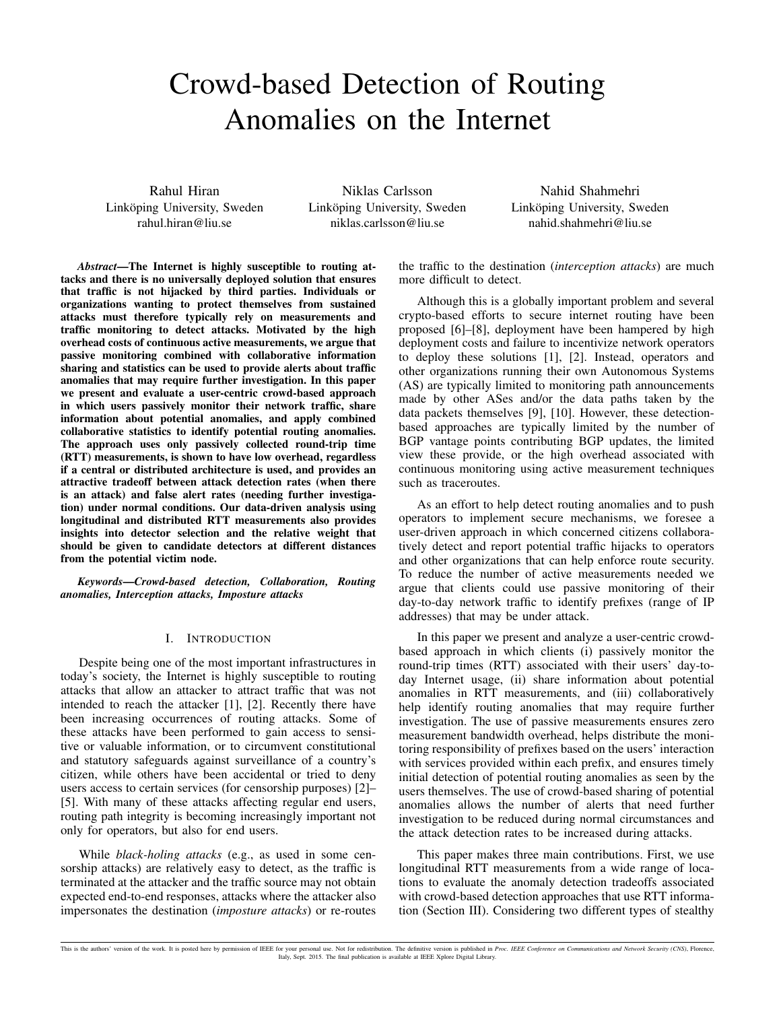# Crowd-based Detection of Routing Anomalies on the Internet

Rahul Hiran Linköping University, Sweden rahul.hiran@liu.se

Niklas Carlsson Linköping University, Sweden niklas.carlsson@liu.se

Nahid Shahmehri Linköping University, Sweden nahid.shahmehri@liu.se

*Abstract*—The Internet is highly susceptible to routing attacks and there is no universally deployed solution that ensures that traffic is not hijacked by third parties. Individuals or organizations wanting to protect themselves from sustained attacks must therefore typically rely on measurements and traffic monitoring to detect attacks. Motivated by the high overhead costs of continuous active measurements, we argue that passive monitoring combined with collaborative information sharing and statistics can be used to provide alerts about traffic anomalies that may require further investigation. In this paper we present and evaluate a user-centric crowd-based approach in which users passively monitor their network traffic, share information about potential anomalies, and apply combined collaborative statistics to identify potential routing anomalies. The approach uses only passively collected round-trip time (RTT) measurements, is shown to have low overhead, regardless if a central or distributed architecture is used, and provides an attractive tradeoff between attack detection rates (when there is an attack) and false alert rates (needing further investigation) under normal conditions. Our data-driven analysis using longitudinal and distributed RTT measurements also provides insights into detector selection and the relative weight that should be given to candidate detectors at different distances from the potential victim node.

*Keywords*—*Crowd-based detection, Collaboration, Routing anomalies, Interception attacks, Imposture attacks*

## I. INTRODUCTION

Despite being one of the most important infrastructures in today's society, the Internet is highly susceptible to routing attacks that allow an attacker to attract traffic that was not intended to reach the attacker [1], [2]. Recently there have been increasing occurrences of routing attacks. Some of these attacks have been performed to gain access to sensitive or valuable information, or to circumvent constitutional and statutory safeguards against surveillance of a country's citizen, while others have been accidental or tried to deny users access to certain services (for censorship purposes) [2]– [5]. With many of these attacks affecting regular end users, routing path integrity is becoming increasingly important not only for operators, but also for end users.

While *black-holing attacks* (e.g., as used in some censorship attacks) are relatively easy to detect, as the traffic is terminated at the attacker and the traffic source may not obtain expected end-to-end responses, attacks where the attacker also impersonates the destination (*imposture attacks*) or re-routes the traffic to the destination (*interception attacks*) are much more difficult to detect.

Although this is a globally important problem and several crypto-based efforts to secure internet routing have been proposed [6]–[8], deployment have been hampered by high deployment costs and failure to incentivize network operators to deploy these solutions [1], [2]. Instead, operators and other organizations running their own Autonomous Systems (AS) are typically limited to monitoring path announcements made by other ASes and/or the data paths taken by the data packets themselves [9], [10]. However, these detectionbased approaches are typically limited by the number of BGP vantage points contributing BGP updates, the limited view these provide, or the high overhead associated with continuous monitoring using active measurement techniques such as traceroutes.

As an effort to help detect routing anomalies and to push operators to implement secure mechanisms, we foresee a user-driven approach in which concerned citizens collaboratively detect and report potential traffic hijacks to operators and other organizations that can help enforce route security. To reduce the number of active measurements needed we argue that clients could use passive monitoring of their day-to-day network traffic to identify prefixes (range of IP addresses) that may be under attack.

In this paper we present and analyze a user-centric crowdbased approach in which clients (i) passively monitor the round-trip times (RTT) associated with their users' day-today Internet usage, (ii) share information about potential anomalies in RTT measurements, and (iii) collaboratively help identify routing anomalies that may require further investigation. The use of passive measurements ensures zero measurement bandwidth overhead, helps distribute the monitoring responsibility of prefixes based on the users' interaction with services provided within each prefix, and ensures timely initial detection of potential routing anomalies as seen by the users themselves. The use of crowd-based sharing of potential anomalies allows the number of alerts that need further investigation to be reduced during normal circumstances and the attack detection rates to be increased during attacks.

This paper makes three main contributions. First, we use longitudinal RTT measurements from a wide range of locations to evaluate the anomaly detection tradeoffs associated with crowd-based detection approaches that use RTT information (Section III). Considering two different types of stealthy

This is the authors' version of the work. It is posted here by permission of IEEE for your personal use. Not for redistribution. The definitive version is published in Proc. IEEE Conference on Communications and Network Se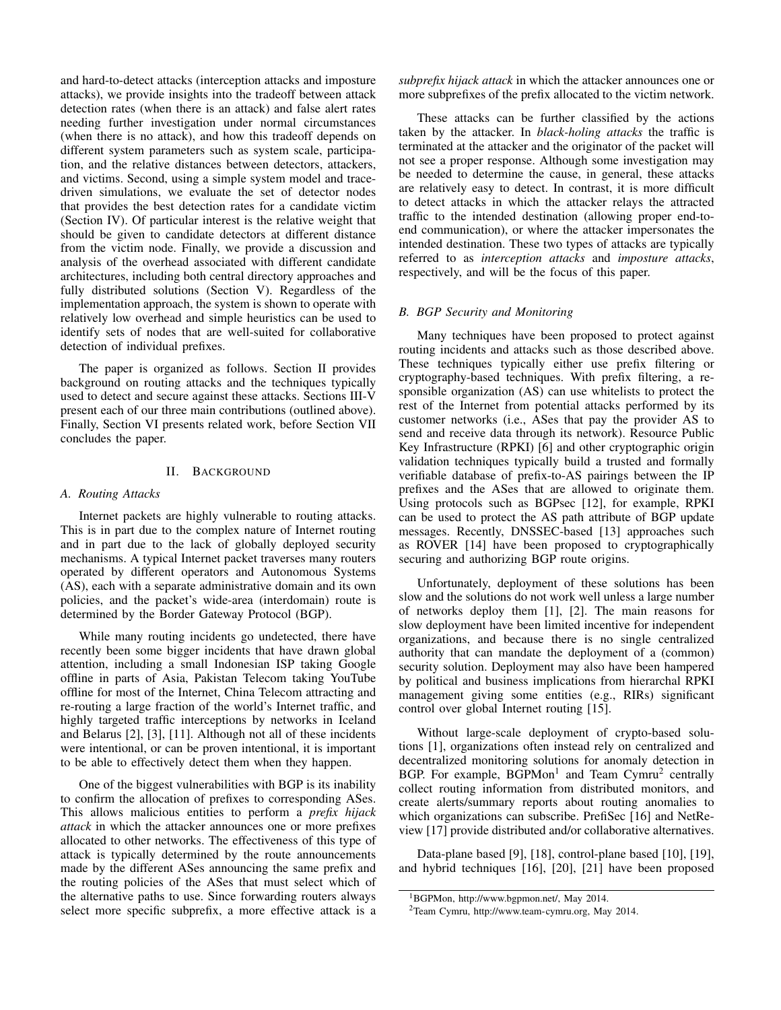and hard-to-detect attacks (interception attacks and imposture attacks), we provide insights into the tradeoff between attack detection rates (when there is an attack) and false alert rates needing further investigation under normal circumstances (when there is no attack), and how this tradeoff depends on different system parameters such as system scale, participation, and the relative distances between detectors, attackers, and victims. Second, using a simple system model and tracedriven simulations, we evaluate the set of detector nodes that provides the best detection rates for a candidate victim (Section IV). Of particular interest is the relative weight that should be given to candidate detectors at different distance from the victim node. Finally, we provide a discussion and analysis of the overhead associated with different candidate architectures, including both central directory approaches and fully distributed solutions (Section V). Regardless of the implementation approach, the system is shown to operate with relatively low overhead and simple heuristics can be used to identify sets of nodes that are well-suited for collaborative detection of individual prefixes.

The paper is organized as follows. Section II provides background on routing attacks and the techniques typically used to detect and secure against these attacks. Sections III-V present each of our three main contributions (outlined above). Finally, Section VI presents related work, before Section VII concludes the paper.

#### II. BACKGROUND

#### *A. Routing Attacks*

Internet packets are highly vulnerable to routing attacks. This is in part due to the complex nature of Internet routing and in part due to the lack of globally deployed security mechanisms. A typical Internet packet traverses many routers operated by different operators and Autonomous Systems (AS), each with a separate administrative domain and its own policies, and the packet's wide-area (interdomain) route is determined by the Border Gateway Protocol (BGP).

While many routing incidents go undetected, there have recently been some bigger incidents that have drawn global attention, including a small Indonesian ISP taking Google offline in parts of Asia, Pakistan Telecom taking YouTube offline for most of the Internet, China Telecom attracting and re-routing a large fraction of the world's Internet traffic, and highly targeted traffic interceptions by networks in Iceland and Belarus [2], [3], [11]. Although not all of these incidents were intentional, or can be proven intentional, it is important to be able to effectively detect them when they happen.

One of the biggest vulnerabilities with BGP is its inability to confirm the allocation of prefixes to corresponding ASes. This allows malicious entities to perform a *prefix hijack attack* in which the attacker announces one or more prefixes allocated to other networks. The effectiveness of this type of attack is typically determined by the route announcements made by the different ASes announcing the same prefix and the routing policies of the ASes that must select which of the alternative paths to use. Since forwarding routers always select more specific subprefix, a more effective attack is a *subprefix hijack attack* in which the attacker announces one or more subprefixes of the prefix allocated to the victim network.

These attacks can be further classified by the actions taken by the attacker. In *black-holing attacks* the traffic is terminated at the attacker and the originator of the packet will not see a proper response. Although some investigation may be needed to determine the cause, in general, these attacks are relatively easy to detect. In contrast, it is more difficult to detect attacks in which the attacker relays the attracted traffic to the intended destination (allowing proper end-toend communication), or where the attacker impersonates the intended destination. These two types of attacks are typically referred to as *interception attacks* and *imposture attacks*, respectively, and will be the focus of this paper.

#### *B. BGP Security and Monitoring*

Many techniques have been proposed to protect against routing incidents and attacks such as those described above. These techniques typically either use prefix filtering or cryptography-based techniques. With prefix filtering, a responsible organization (AS) can use whitelists to protect the rest of the Internet from potential attacks performed by its customer networks (i.e., ASes that pay the provider AS to send and receive data through its network). Resource Public Key Infrastructure (RPKI) [6] and other cryptographic origin validation techniques typically build a trusted and formally verifiable database of prefix-to-AS pairings between the IP prefixes and the ASes that are allowed to originate them. Using protocols such as BGPsec [12], for example, RPKI can be used to protect the AS path attribute of BGP update messages. Recently, DNSSEC-based [13] approaches such as ROVER [14] have been proposed to cryptographically securing and authorizing BGP route origins.

Unfortunately, deployment of these solutions has been slow and the solutions do not work well unless a large number of networks deploy them [1], [2]. The main reasons for slow deployment have been limited incentive for independent organizations, and because there is no single centralized authority that can mandate the deployment of a (common) security solution. Deployment may also have been hampered by political and business implications from hierarchal RPKI management giving some entities (e.g., RIRs) significant control over global Internet routing [15].

Without large-scale deployment of crypto-based solutions [1], organizations often instead rely on centralized and decentralized monitoring solutions for anomaly detection in BGP. For example, BGPMon<sup>1</sup> and Team Cymru<sup>2</sup> centrally collect routing information from distributed monitors, and create alerts/summary reports about routing anomalies to which organizations can subscribe. PrefiSec [16] and NetReview [17] provide distributed and/or collaborative alternatives.

Data-plane based [9], [18], control-plane based [10], [19], and hybrid techniques [16], [20], [21] have been proposed

<sup>1</sup>BGPMon, http://www.bgpmon.net/, May 2014.

<sup>2</sup>Team Cymru, http://www.team-cymru.org, May 2014.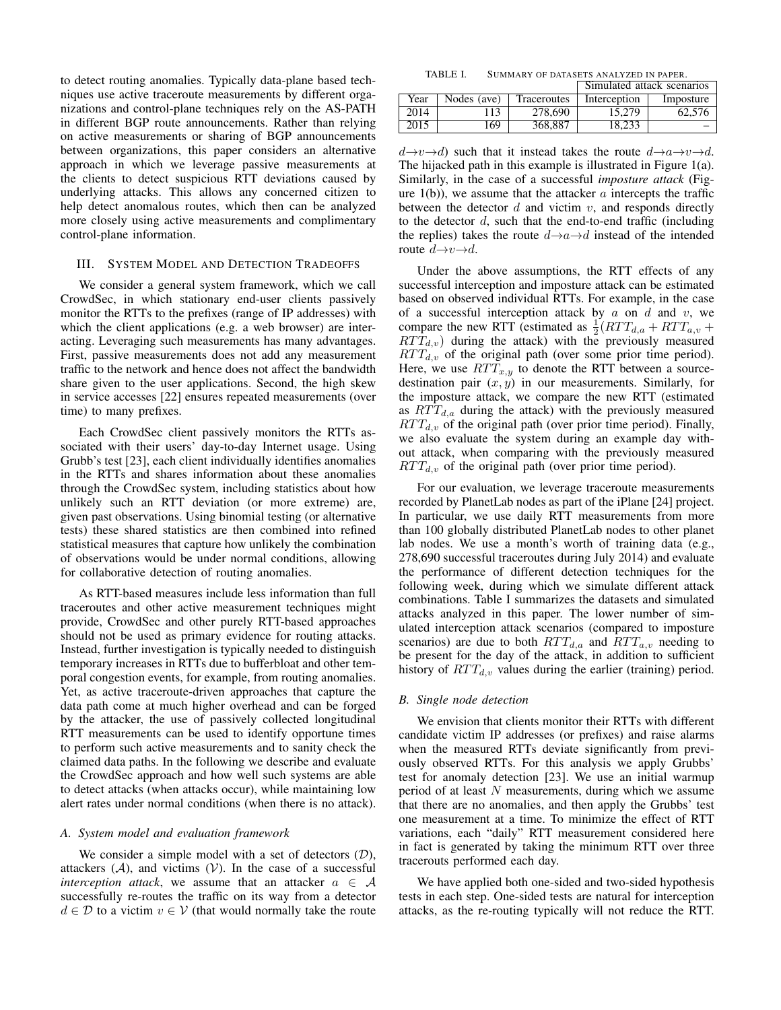to detect routing anomalies. Typically data-plane based techniques use active traceroute measurements by different organizations and control-plane techniques rely on the AS-PATH in different BGP route announcements. Rather than relying on active measurements or sharing of BGP announcements between organizations, this paper considers an alternative approach in which we leverage passive measurements at the clients to detect suspicious RTT deviations caused by underlying attacks. This allows any concerned citizen to help detect anomalous routes, which then can be analyzed more closely using active measurements and complimentary control-plane information.

## III. SYSTEM MODEL AND DETECTION TRADEOFFS

We consider a general system framework, which we call CrowdSec, in which stationary end-user clients passively monitor the RTTs to the prefixes (range of IP addresses) with which the client applications (e.g. a web browser) are interacting. Leveraging such measurements has many advantages. First, passive measurements does not add any measurement traffic to the network and hence does not affect the bandwidth share given to the user applications. Second, the high skew in service accesses [22] ensures repeated measurements (over time) to many prefixes.

Each CrowdSec client passively monitors the RTTs associated with their users' day-to-day Internet usage. Using Grubb's test [23], each client individually identifies anomalies in the RTTs and shares information about these anomalies through the CrowdSec system, including statistics about how unlikely such an RTT deviation (or more extreme) are, given past observations. Using binomial testing (or alternative tests) these shared statistics are then combined into refined statistical measures that capture how unlikely the combination of observations would be under normal conditions, allowing for collaborative detection of routing anomalies.

As RTT-based measures include less information than full traceroutes and other active measurement techniques might provide, CrowdSec and other purely RTT-based approaches should not be used as primary evidence for routing attacks. Instead, further investigation is typically needed to distinguish temporary increases in RTTs due to bufferbloat and other temporal congestion events, for example, from routing anomalies. Yet, as active traceroute-driven approaches that capture the data path come at much higher overhead and can be forged by the attacker, the use of passively collected longitudinal RTT measurements can be used to identify opportune times to perform such active measurements and to sanity check the claimed data paths. In the following we describe and evaluate the CrowdSec approach and how well such systems are able to detect attacks (when attacks occur), while maintaining low alert rates under normal conditions (when there is no attack).

#### *A. System model and evaluation framework*

We consider a simple model with a set of detectors  $(D)$ , attackers  $(A)$ , and victims  $(V)$ . In the case of a successful *interception attack*, we assume that an attacker  $a \in A$ successfully re-routes the traffic on its way from a detector  $d \in \mathcal{D}$  to a victim  $v \in \mathcal{V}$  (that would normally take the route

TABLE I. SUMMARY OF DATASETS ANALYZED IN PAPER.

|      |             | Simulated attack scenarios |              |           |
|------|-------------|----------------------------|--------------|-----------|
| Year | Nodes (ave) | Traceroutes                | Interception | Imposture |
| 2014 | 113         | 278,690                    | 15.279       | 62.576    |
| 2015 | 169         | 368,887                    | 18.233       |           |

 $d\rightarrow v\rightarrow d$ ) such that it instead takes the route  $d\rightarrow a\rightarrow v\rightarrow d$ . The hijacked path in this example is illustrated in Figure 1(a). Similarly, in the case of a successful *imposture attack* (Figure  $1(b)$ , we assume that the attacker a intercepts the traffic between the detector  $d$  and victim  $v$ , and responds directly to the detector  $d$ , such that the end-to-end traffic (including the replies) takes the route  $d\rightarrow a\rightarrow d$  instead of the intended route  $d \rightarrow v \rightarrow d$ .

Under the above assumptions, the RTT effects of any successful interception and imposture attack can be estimated based on observed individual RTTs. For example, in the case of a successful interception attack by  $\alpha$  on  $d$  and  $v$ , we compare the new RTT (estimated as  $\frac{1}{2}(RTT_{d,a} + RTT_{a,v} +$  $RTT_{d,v}$ ) during the attack) with the previously measured  $RTT_{d,v}$  of the original path (over some prior time period). Here, we use  $RTT_{x,y}$  to denote the RTT between a sourcedestination pair  $(x, y)$  in our measurements. Similarly, for the imposture attack, we compare the new RTT (estimated as  $RTT_{d,a}$  during the attack) with the previously measured  $RTT_{d,v}$  of the original path (over prior time period). Finally, we also evaluate the system during an example day without attack, when comparing with the previously measured  $RTT_{d,v}$  of the original path (over prior time period).

For our evaluation, we leverage traceroute measurements recorded by PlanetLab nodes as part of the iPlane [24] project. In particular, we use daily RTT measurements from more than 100 globally distributed PlanetLab nodes to other planet lab nodes. We use a month's worth of training data (e.g., 278,690 successful traceroutes during July 2014) and evaluate the performance of different detection techniques for the following week, during which we simulate different attack combinations. Table I summarizes the datasets and simulated attacks analyzed in this paper. The lower number of simulated interception attack scenarios (compared to imposture scenarios) are due to both  $RTT_{d,a}$  and  $RTT_{a,v}$  needing to be present for the day of the attack, in addition to sufficient history of  $RTT_{d,v}$  values during the earlier (training) period.

## *B. Single node detection*

We envision that clients monitor their RTTs with different candidate victim IP addresses (or prefixes) and raise alarms when the measured RTTs deviate significantly from previously observed RTTs. For this analysis we apply Grubbs' test for anomaly detection [23]. We use an initial warmup period of at least  $N$  measurements, during which we assume that there are no anomalies, and then apply the Grubbs' test one measurement at a time. To minimize the effect of RTT variations, each "daily" RTT measurement considered here in fact is generated by taking the minimum RTT over three tracerouts performed each day.

We have applied both one-sided and two-sided hypothesis tests in each step. One-sided tests are natural for interception attacks, as the re-routing typically will not reduce the RTT.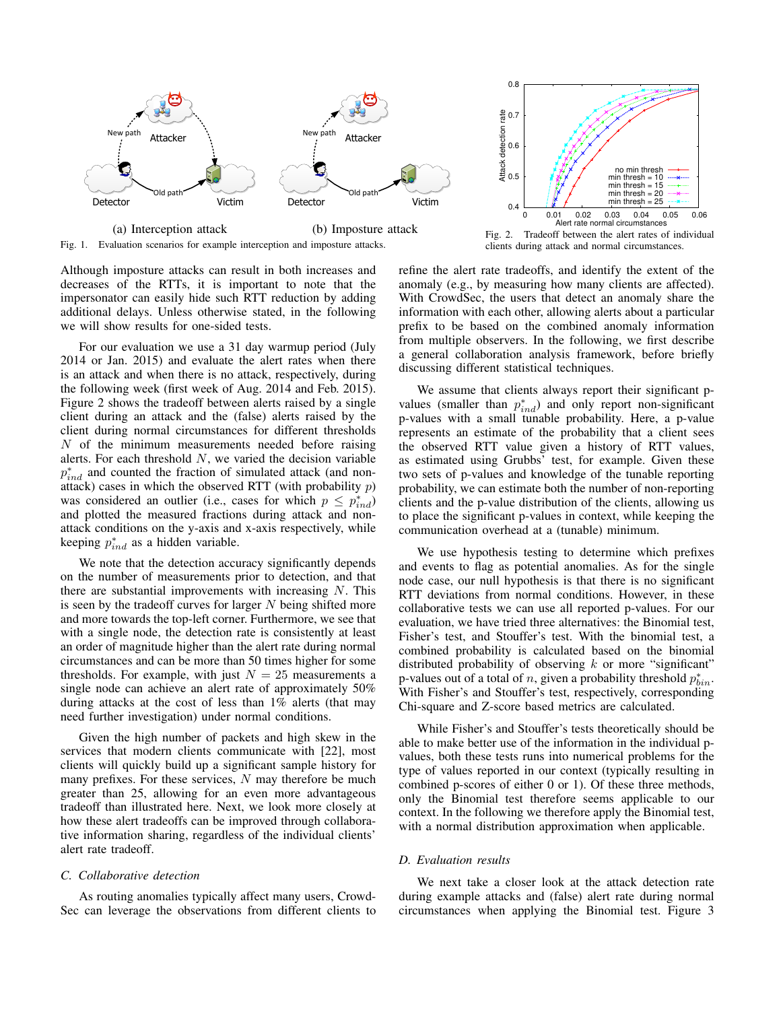



Fig. 2. Tradeoff between the alert rates of individual clients during attack and normal circumstances.

Although imposture attacks can result in both increases and decreases of the RTTs, it is important to note that the impersonator can easily hide such RTT reduction by adding additional delays. Unless otherwise stated, in the following we will show results for one-sided tests.

For our evaluation we use a 31 day warmup period (July 2014 or Jan. 2015) and evaluate the alert rates when there is an attack and when there is no attack, respectively, during the following week (first week of Aug. 2014 and Feb. 2015). Figure 2 shows the tradeoff between alerts raised by a single client during an attack and the (false) alerts raised by the client during normal circumstances for different thresholds N of the minimum measurements needed before raising alerts. For each threshold  $N$ , we varied the decision variable  $p_{ind}^*$  and counted the fraction of simulated attack (and nonattack) cases in which the observed RTT (with probability  $p$ ) was considered an outlier (i.e., cases for which  $p \leq p_{ind}^*$ ) and plotted the measured fractions during attack and nonattack conditions on the y-axis and x-axis respectively, while keeping  $p_{ind}^*$  as a hidden variable.

We note that the detection accuracy significantly depends on the number of measurements prior to detection, and that there are substantial improvements with increasing N. This is seen by the tradeoff curves for larger  $N$  being shifted more and more towards the top-left corner. Furthermore, we see that with a single node, the detection rate is consistently at least an order of magnitude higher than the alert rate during normal circumstances and can be more than 50 times higher for some thresholds. For example, with just  $N = 25$  measurements a single node can achieve an alert rate of approximately 50% during attacks at the cost of less than 1% alerts (that may need further investigation) under normal conditions.

Given the high number of packets and high skew in the services that modern clients communicate with [22], most clients will quickly build up a significant sample history for many prefixes. For these services,  $N$  may therefore be much greater than 25, allowing for an even more advantageous tradeoff than illustrated here. Next, we look more closely at how these alert tradeoffs can be improved through collaborative information sharing, regardless of the individual clients' alert rate tradeoff.

## *C. Collaborative detection*

As routing anomalies typically affect many users, Crowd-Sec can leverage the observations from different clients to refine the alert rate tradeoffs, and identify the extent of the anomaly (e.g., by measuring how many clients are affected). With CrowdSec, the users that detect an anomaly share the information with each other, allowing alerts about a particular prefix to be based on the combined anomaly information from multiple observers. In the following, we first describe a general collaboration analysis framework, before briefly discussing different statistical techniques.

We assume that clients always report their significant pvalues (smaller than  $p_{ind}^*$ ) and only report non-significant p-values with a small tunable probability. Here, a p-value represents an estimate of the probability that a client sees the observed RTT value given a history of RTT values, as estimated using Grubbs' test, for example. Given these two sets of p-values and knowledge of the tunable reporting probability, we can estimate both the number of non-reporting clients and the p-value distribution of the clients, allowing us to place the significant p-values in context, while keeping the communication overhead at a (tunable) minimum.

We use hypothesis testing to determine which prefixes and events to flag as potential anomalies. As for the single node case, our null hypothesis is that there is no significant RTT deviations from normal conditions. However, in these collaborative tests we can use all reported p-values. For our evaluation, we have tried three alternatives: the Binomial test, Fisher's test, and Stouffer's test. With the binomial test, a combined probability is calculated based on the binomial distributed probability of observing  $k$  or more "significant" p-values out of a total of *n*, given a probability threshold  $p_{bin}^*$ . With Fisher's and Stouffer's test, respectively, corresponding Chi-square and Z-score based metrics are calculated.

While Fisher's and Stouffer's tests theoretically should be able to make better use of the information in the individual pvalues, both these tests runs into numerical problems for the type of values reported in our context (typically resulting in combined p-scores of either 0 or 1). Of these three methods, only the Binomial test therefore seems applicable to our context. In the following we therefore apply the Binomial test, with a normal distribution approximation when applicable.

#### *D. Evaluation results*

We next take a closer look at the attack detection rate during example attacks and (false) alert rate during normal circumstances when applying the Binomial test. Figure 3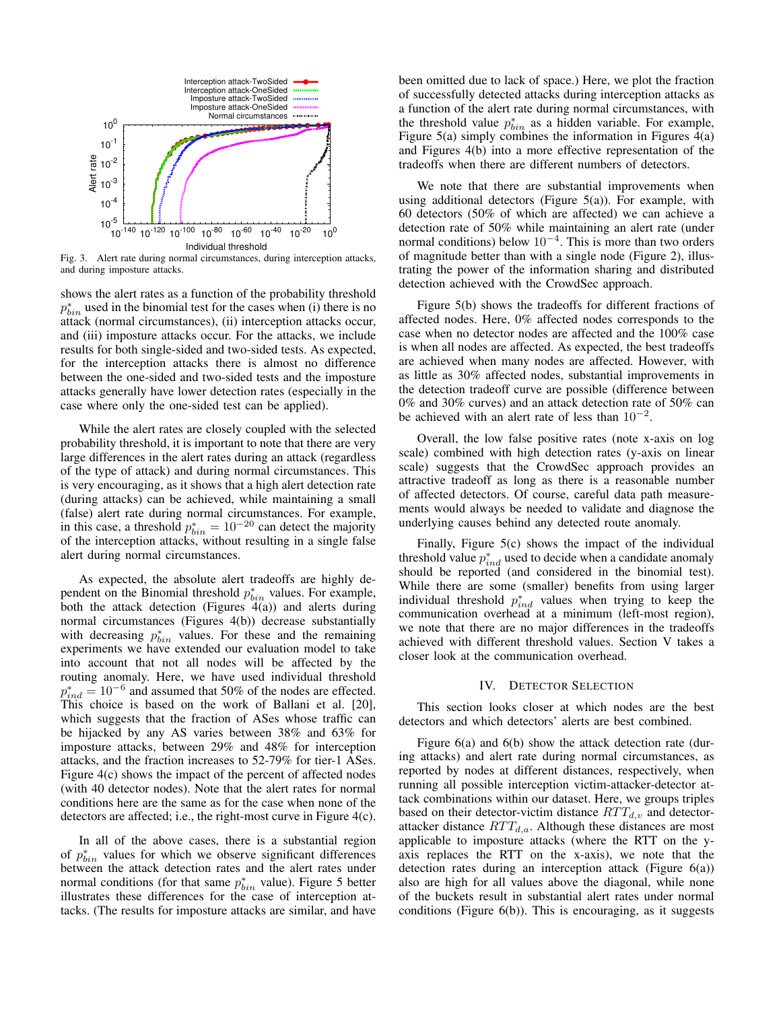

Fig. 3. Alert rate during normal circumstances, during interception attacks, and during imposture attacks.

shows the alert rates as a function of the probability threshold  $p_{bin}^*$  used in the binomial test for the cases when (i) there is no attack (normal circumstances), (ii) interception attacks occur, and (iii) imposture attacks occur. For the attacks, we include results for both single-sided and two-sided tests. As expected, for the interception attacks there is almost no difference between the one-sided and two-sided tests and the imposture attacks generally have lower detection rates (especially in the case where only the one-sided test can be applied).

While the alert rates are closely coupled with the selected probability threshold, it is important to note that there are very large differences in the alert rates during an attack (regardless of the type of attack) and during normal circumstances. This is very encouraging, as it shows that a high alert detection rate (during attacks) can be achieved, while maintaining a small (false) alert rate during normal circumstances. For example, in this case, a threshold  $p_{bin}^* = 10^{-20}$  can detect the majority of the interception attacks, without resulting in a single false alert during normal circumstances.

As expected, the absolute alert tradeoffs are highly dependent on the Binomial threshold  $p_{bin}^*$  values. For example, both the attack detection (Figures  $4(a)$ ) and alerts during normal circumstances (Figures 4(b)) decrease substantially with decreasing  $p_{bin}^*$  values. For these and the remaining experiments we have extended our evaluation model to take into account that not all nodes will be affected by the routing anomaly. Here, we have used individual threshold  $p_{ind}^* = 10^{-6}$  and assumed that 50% of the nodes are effected. This choice is based on the work of Ballani et al. [20], which suggests that the fraction of ASes whose traffic can be hijacked by any AS varies between 38% and 63% for imposture attacks, between 29% and 48% for interception attacks, and the fraction increases to 52-79% for tier-1 ASes. Figure 4(c) shows the impact of the percent of affected nodes (with 40 detector nodes). Note that the alert rates for normal conditions here are the same as for the case when none of the detectors are affected; i.e., the right-most curve in Figure 4(c).

In all of the above cases, there is a substantial region of  $p_{bin}^*$  values for which we observe significant differences between the attack detection rates and the alert rates under normal conditions (for that same  $p_{bin}^*$  value). Figure 5 better illustrates these differences for the case of interception attacks. (The results for imposture attacks are similar, and have been omitted due to lack of space.) Here, we plot the fraction of successfully detected attacks during interception attacks as a function of the alert rate during normal circumstances, with the threshold value  $p_{bin}^*$  as a hidden variable. For example, Figure 5(a) simply combines the information in Figures 4(a) and Figures 4(b) into a more effective representation of the tradeoffs when there are different numbers of detectors.

We note that there are substantial improvements when using additional detectors (Figure 5(a)). For example, with 60 detectors (50% of which are affected) we can achieve a detection rate of 50% while maintaining an alert rate (under normal conditions) below 10<sup>-4</sup>. This is more than two orders of magnitude better than with a single node (Figure 2), illustrating the power of the information sharing and distributed detection achieved with the CrowdSec approach.

Figure 5(b) shows the tradeoffs for different fractions of affected nodes. Here, 0% affected nodes corresponds to the case when no detector nodes are affected and the 100% case is when all nodes are affected. As expected, the best tradeoffs are achieved when many nodes are affected. However, with as little as 30% affected nodes, substantial improvements in the detection tradeoff curve are possible (difference between 0% and 30% curves) and an attack detection rate of 50% can be achieved with an alert rate of less than  $10^{-2}$ .

Overall, the low false positive rates (note x-axis on log scale) combined with high detection rates (y-axis on linear scale) suggests that the CrowdSec approach provides an attractive tradeoff as long as there is a reasonable number of affected detectors. Of course, careful data path measurements would always be needed to validate and diagnose the underlying causes behind any detected route anomaly.

Finally, Figure 5(c) shows the impact of the individual threshold value  $p_{ind}^*$  used to decide when a candidate anomaly should be reported (and considered in the binomial test). While there are some (smaller) benefits from using larger individual threshold  $p_{ind}^*$  values when trying to keep the communication overhead at a minimum (left-most region), we note that there are no major differences in the tradeoffs achieved with different threshold values. Section V takes a closer look at the communication overhead.

## IV. DETECTOR SELECTION

This section looks closer at which nodes are the best detectors and which detectors' alerts are best combined.

Figure 6(a) and 6(b) show the attack detection rate (during attacks) and alert rate during normal circumstances, as reported by nodes at different distances, respectively, when running all possible interception victim-attacker-detector attack combinations within our dataset. Here, we groups triples based on their detector-victim distance  $RTT_{d,v}$  and detectorattacker distance  $RTT_{d,a}$ . Although these distances are most applicable to imposture attacks (where the RTT on the yaxis replaces the RTT on the x-axis), we note that the detection rates during an interception attack (Figure 6(a)) also are high for all values above the diagonal, while none of the buckets result in substantial alert rates under normal conditions (Figure  $6(b)$ ). This is encouraging, as it suggests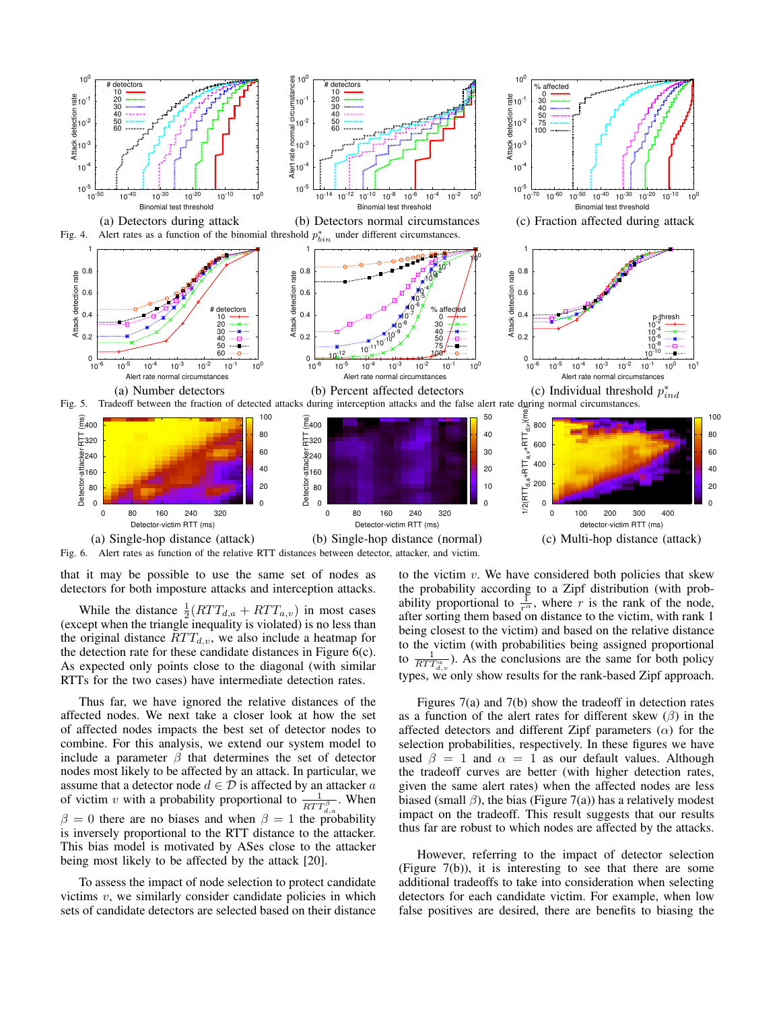

Fig. 6. Alert rates as function of the relative RTT distances between detector, attacker, and victim.

that it may be possible to use the same set of nodes as detectors for both imposture attacks and interception attacks.

While the distance  $\frac{1}{2}(RTT_{d,a} + RTT_{a,v})$  in most cases (except when the triangle inequality is violated) is no less than the original distance  $RTT_{d,v}$ , we also include a heatmap for the detection rate for these candidate distances in Figure 6(c). As expected only points close to the diagonal (with similar RTTs for the two cases) have intermediate detection rates.

Thus far, we have ignored the relative distances of the affected nodes. We next take a closer look at how the set of affected nodes impacts the best set of detector nodes to combine. For this analysis, we extend our system model to include a parameter  $\beta$  that determines the set of detector nodes most likely to be affected by an attack. In particular, we assume that a detector node  $d \in \mathcal{D}$  is affected by an attacker a of victim v with a probability proportional to  $\frac{1}{RTT_{d,a}^{\beta}}$ . When  $\beta = 0$  there are no biases and when  $\beta = 1$  the probability is inversely proportional to the RTT distance to the attacker. This bias model is motivated by ASes close to the attacker being most likely to be affected by the attack [20].

To assess the impact of node selection to protect candidate victims  $v$ , we similarly consider candidate policies in which sets of candidate detectors are selected based on their distance

to the victim  $v$ . We have considered both policies that skew the probability according to a Zipf distribution (with probability proportional to  $\frac{1}{r^{\alpha}}$ , where r is the rank of the node, after sorting them based on distance to the victim, with rank 1 being closest to the victim) and based on the relative distance to the victim (with probabilities being assigned proportional to  $\frac{1}{RTT_{d,v}^{\alpha}}$ ). As the conclusions are the same for both policy types, we only show results for the rank-based Zipf approach.

Figures 7(a) and 7(b) show the tradeoff in detection rates as a function of the alert rates for different skew  $(\beta)$  in the affected detectors and different Zipf parameters  $(\alpha)$  for the selection probabilities, respectively. In these figures we have used  $\beta = 1$  and  $\alpha = 1$  as our default values. Although the tradeoff curves are better (with higher detection rates, given the same alert rates) when the affected nodes are less biased (small  $\beta$ ), the bias (Figure 7(a)) has a relatively modest impact on the tradeoff. This result suggests that our results thus far are robust to which nodes are affected by the attacks.

However, referring to the impact of detector selection (Figure 7(b)), it is interesting to see that there are some additional tradeoffs to take into consideration when selecting detectors for each candidate victim. For example, when low false positives are desired, there are benefits to biasing the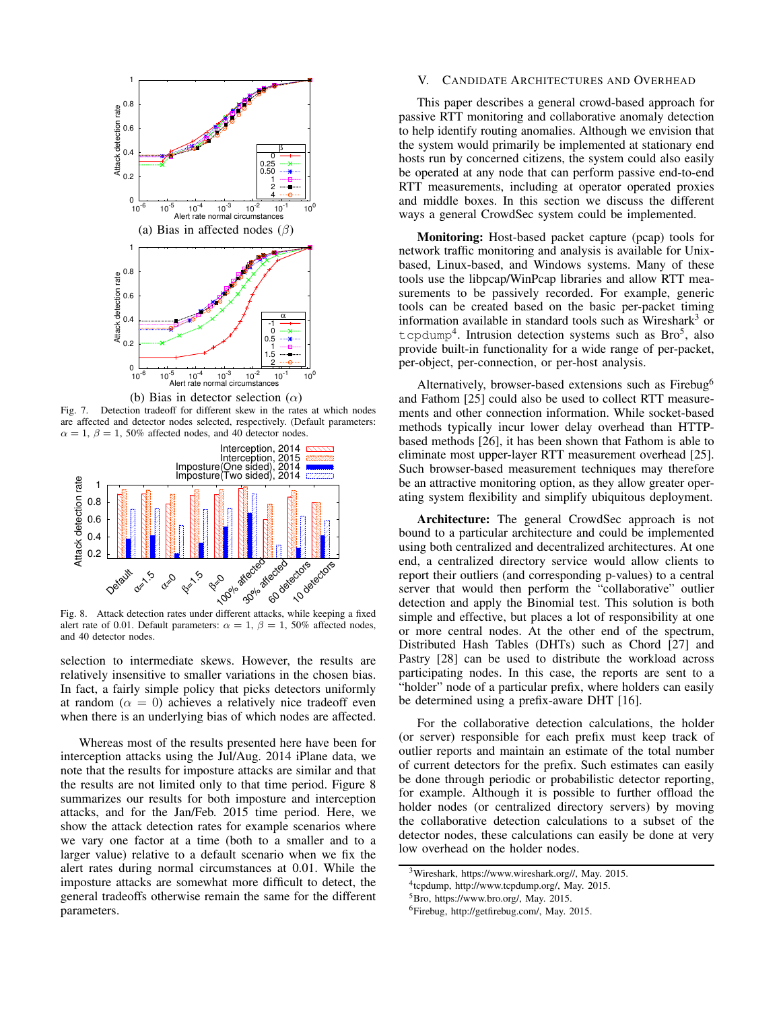

Fig. 7. Detection tradeoff for different skew in the rates at which nodes are affected and detector nodes selected, respectively. (Default parameters:



Fig. 8. Attack detection rates under different attacks, while keeping a fixed alert rate of 0.01. Default parameters:  $\alpha = 1$ ,  $\beta = 1$ , 50% affected nodes, and 40 detector nodes.

selection to intermediate skews. However, the results are relatively insensitive to smaller variations in the chosen bias. In fact, a fairly simple policy that picks detectors uniformly at random ( $\alpha = 0$ ) achieves a relatively nice tradeoff even when there is an underlying bias of which nodes are affected.

Whereas most of the results presented here have been for interception attacks using the Jul/Aug. 2014 iPlane data, we note that the results for imposture attacks are similar and that the results are not limited only to that time period. Figure 8 summarizes our results for both imposture and interception attacks, and for the Jan/Feb. 2015 time period. Here, we show the attack detection rates for example scenarios where we vary one factor at a time (both to a smaller and to a larger value) relative to a default scenario when we fix the alert rates during normal circumstances at 0.01. While the imposture attacks are somewhat more difficult to detect, the general tradeoffs otherwise remain the same for the different parameters.

## V. CANDIDATE ARCHITECTURES AND OVERHEAD

This paper describes a general crowd-based approach for passive RTT monitoring and collaborative anomaly detection to help identify routing anomalies. Although we envision that the system would primarily be implemented at stationary end hosts run by concerned citizens, the system could also easily be operated at any node that can perform passive end-to-end RTT measurements, including at operator operated proxies and middle boxes. In this section we discuss the different ways a general CrowdSec system could be implemented.

Monitoring: Host-based packet capture (pcap) tools for network traffic monitoring and analysis is available for Unixbased, Linux-based, and Windows systems. Many of these tools use the libpcap/WinPcap libraries and allow RTT measurements to be passively recorded. For example, generic tools can be created based on the basic per-packet timing information available in standard tools such as Wireshark<sup>3</sup> or tcpdump<sup>4</sup>. Intrusion detection systems such as Bro<sup>5</sup>, also provide built-in functionality for a wide range of per-packet, per-object, per-connection, or per-host analysis.

Alternatively, browser-based extensions such as Firebug<sup>6</sup> and Fathom [25] could also be used to collect RTT measurements and other connection information. While socket-based methods typically incur lower delay overhead than HTTPbased methods [26], it has been shown that Fathom is able to eliminate most upper-layer RTT measurement overhead [25]. Such browser-based measurement techniques may therefore be an attractive monitoring option, as they allow greater operating system flexibility and simplify ubiquitous deployment.

Architecture: The general CrowdSec approach is not bound to a particular architecture and could be implemented using both centralized and decentralized architectures. At one end, a centralized directory service would allow clients to report their outliers (and corresponding p-values) to a central server that would then perform the "collaborative" outlier detection and apply the Binomial test. This solution is both simple and effective, but places a lot of responsibility at one or more central nodes. At the other end of the spectrum, Distributed Hash Tables (DHTs) such as Chord [27] and Pastry [28] can be used to distribute the workload across participating nodes. In this case, the reports are sent to a "holder" node of a particular prefix, where holders can easily be determined using a prefix-aware DHT [16].

For the collaborative detection calculations, the holder (or server) responsible for each prefix must keep track of outlier reports and maintain an estimate of the total number of current detectors for the prefix. Such estimates can easily be done through periodic or probabilistic detector reporting, for example. Although it is possible to further offload the holder nodes (or centralized directory servers) by moving the collaborative detection calculations to a subset of the detector nodes, these calculations can easily be done at very low overhead on the holder nodes.

<sup>3</sup>Wireshark, https://www.wireshark.org//, May. 2015.

<sup>4</sup> tcpdump, http://www.tcpdump.org/, May. 2015.

<sup>5</sup>Bro, https://www.bro.org/, May. 2015.

<sup>6</sup>Firebug, http://getfirebug.com/, May. 2015.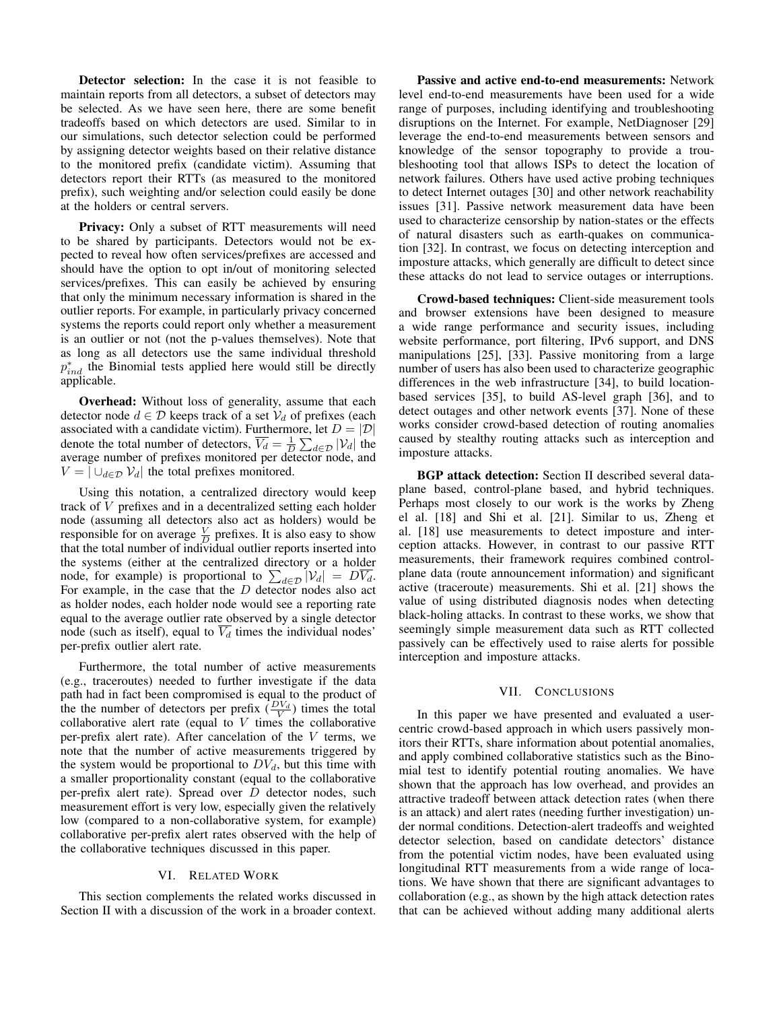Detector selection: In the case it is not feasible to maintain reports from all detectors, a subset of detectors may be selected. As we have seen here, there are some benefit tradeoffs based on which detectors are used. Similar to in our simulations, such detector selection could be performed by assigning detector weights based on their relative distance to the monitored prefix (candidate victim). Assuming that detectors report their RTTs (as measured to the monitored prefix), such weighting and/or selection could easily be done at the holders or central servers.

Privacy: Only a subset of RTT measurements will need to be shared by participants. Detectors would not be expected to reveal how often services/prefixes are accessed and should have the option to opt in/out of monitoring selected services/prefixes. This can easily be achieved by ensuring that only the minimum necessary information is shared in the outlier reports. For example, in particularly privacy concerned systems the reports could report only whether a measurement is an outlier or not (not the p-values themselves). Note that as long as all detectors use the same individual threshold  $p_{ind}^*$  the Binomial tests applied here would still be directly applicable.

Overhead: Without loss of generality, assume that each detector node  $d \in \mathcal{D}$  keeps track of a set  $\mathcal{V}_d$  of prefixes (each associated with a candidate victim). Furthermore, let  $D = |\mathcal{D}|$ denote the total number of detectors,  $\overline{V_d} = \frac{1}{L}$  $\frac{1}{D} \sum_{d \in \mathcal{D}} |\mathcal{V}_d|$  the average number of prefixes monitored per detector node, and  $V = |\bigcup_{d \in \mathcal{D}} \mathcal{V}_d|$  the total prefixes monitored.

Using this notation, a centralized directory would keep track of V prefixes and in a decentralized setting each holder node (assuming all detectors also act as holders) would be responsible for on average  $\frac{V}{D}$  prefixes. It is also easy to show that the total number of individual outlier reports inserted into the systems (either at the centralized directory or a holder node, for example) is proportional to  $\sum_{d \in \mathcal{D}} |\mathcal{V}_d| = D\overline{V_d}$ . For example, in the case that the  $D$  detector nodes also act as holder nodes, each holder node would see a reporting rate equal to the average outlier rate observed by a single detector node (such as itself), equal to  $\overline{V_d}$  times the individual nodes' per-prefix outlier alert rate.

Furthermore, the total number of active measurements (e.g., traceroutes) needed to further investigate if the data path had in fact been compromised is equal to the product of the the number of detectors per prefix  $\left(\frac{DV_d}{V}\right)$  times the total collaborative alert rate (equal to  $V$  times the collaborative per-prefix alert rate). After cancelation of the  $V$  terms, we note that the number of active measurements triggered by the system would be proportional to  $DV_d$ , but this time with a smaller proportionality constant (equal to the collaborative per-prefix alert rate). Spread over D detector nodes, such measurement effort is very low, especially given the relatively low (compared to a non-collaborative system, for example) collaborative per-prefix alert rates observed with the help of the collaborative techniques discussed in this paper.

#### VI. RELATED WORK

This section complements the related works discussed in Section II with a discussion of the work in a broader context.

Passive and active end-to-end measurements: Network level end-to-end measurements have been used for a wide range of purposes, including identifying and troubleshooting disruptions on the Internet. For example, NetDiagnoser [29] leverage the end-to-end measurements between sensors and knowledge of the sensor topography to provide a troubleshooting tool that allows ISPs to detect the location of network failures. Others have used active probing techniques to detect Internet outages [30] and other network reachability issues [31]. Passive network measurement data have been used to characterize censorship by nation-states or the effects of natural disasters such as earth-quakes on communication [32]. In contrast, we focus on detecting interception and imposture attacks, which generally are difficult to detect since these attacks do not lead to service outages or interruptions.

Crowd-based techniques: Client-side measurement tools and browser extensions have been designed to measure a wide range performance and security issues, including website performance, port filtering, IPv6 support, and DNS manipulations [25], [33]. Passive monitoring from a large number of users has also been used to characterize geographic differences in the web infrastructure [34], to build locationbased services [35], to build AS-level graph [36], and to detect outages and other network events [37]. None of these works consider crowd-based detection of routing anomalies caused by stealthy routing attacks such as interception and imposture attacks.

BGP attack detection: Section II described several dataplane based, control-plane based, and hybrid techniques. Perhaps most closely to our work is the works by Zheng el al. [18] and Shi et al. [21]. Similar to us, Zheng et al. [18] use measurements to detect imposture and interception attacks. However, in contrast to our passive RTT measurements, their framework requires combined controlplane data (route announcement information) and significant active (traceroute) measurements. Shi et al. [21] shows the value of using distributed diagnosis nodes when detecting black-holing attacks. In contrast to these works, we show that seemingly simple measurement data such as RTT collected passively can be effectively used to raise alerts for possible interception and imposture attacks.

### VII. CONCLUSIONS

In this paper we have presented and evaluated a usercentric crowd-based approach in which users passively monitors their RTTs, share information about potential anomalies, and apply combined collaborative statistics such as the Binomial test to identify potential routing anomalies. We have shown that the approach has low overhead, and provides an attractive tradeoff between attack detection rates (when there is an attack) and alert rates (needing further investigation) under normal conditions. Detection-alert tradeoffs and weighted detector selection, based on candidate detectors' distance from the potential victim nodes, have been evaluated using longitudinal RTT measurements from a wide range of locations. We have shown that there are significant advantages to collaboration (e.g., as shown by the high attack detection rates that can be achieved without adding many additional alerts